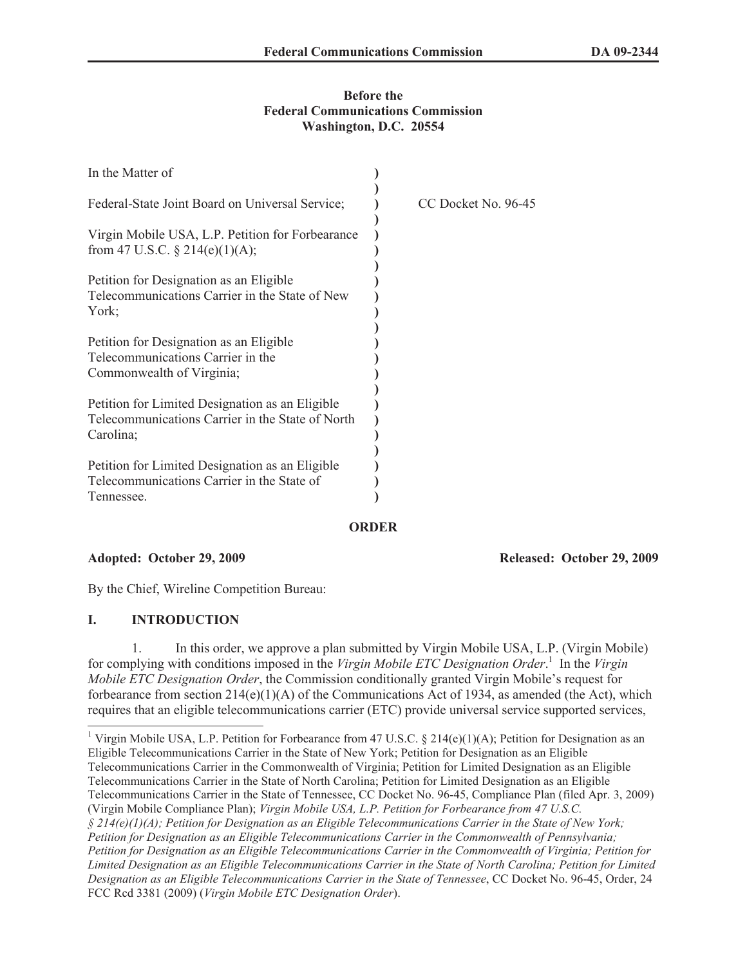#### **Before the Federal Communications Commission Washington, D.C. 20554**

| In the Matter of                                                                                                 |                     |
|------------------------------------------------------------------------------------------------------------------|---------------------|
| Federal-State Joint Board on Universal Service;                                                                  | CC Docket No. 96-45 |
| Virgin Mobile USA, L.P. Petition for Forbearance<br>from 47 U.S.C. $\S$ 214(e)(1)(A);                            |                     |
| Petition for Designation as an Eligible<br>Telecommunications Carrier in the State of New<br>York;               |                     |
| Petition for Designation as an Eligible<br>Telecommunications Carrier in the<br>Commonwealth of Virginia;        |                     |
| Petition for Limited Designation as an Eligible<br>Telecommunications Carrier in the State of North<br>Carolina; |                     |
| Petition for Limited Designation as an Eligible<br>Telecommunications Carrier in the State of<br>Tennessee.      |                     |

### **ORDER**

**Adopted: October 29, 2009 Released: October 29, 2009**

By the Chief, Wireline Competition Bureau:

## **I. INTRODUCTION**

1. In this order, we approve a plan submitted by Virgin Mobile USA, L.P. (Virgin Mobile) for complying with conditions imposed in the *Virgin Mobile ETC Designation Order*. 1 In the *Virgin Mobile ETC Designation Order*, the Commission conditionally granted Virgin Mobile's request for forbearance from section  $214(e)(1)(A)$  of the Communications Act of 1934, as amended (the Act), which requires that an eligible telecommunications carrier (ETC) provide universal service supported services,

<sup>1</sup> Virgin Mobile USA, L.P. Petition for Forbearance from 47 U.S.C. § 214(e)(1)(A); Petition for Designation as an Eligible Telecommunications Carrier in the State of New York; Petition for Designation as an Eligible Telecommunications Carrier in the Commonwealth of Virginia; Petition for Limited Designation as an Eligible Telecommunications Carrier in the State of North Carolina; Petition for Limited Designation as an Eligible Telecommunications Carrier in the State of Tennessee, CC Docket No. 96-45, Compliance Plan (filed Apr. 3, 2009) (Virgin Mobile Compliance Plan); *Virgin Mobile USA, L.P. Petition for Forbearance from 47 U.S.C. § 214(e)(1)(A); Petition for Designation as an Eligible Telecommunications Carrier in the State of New York; Petition for Designation as an Eligible Telecommunications Carrier in the Commonwealth of Pennsylvania; Petition for Designation as an Eligible Telecommunications Carrier in the Commonwealth of Virginia; Petition for Limited Designation as an Eligible Telecommunications Carrier in the State of North Carolina; Petition for Limited Designation as an Eligible Telecommunications Carrier in the State of Tennessee*, CC Docket No. 96-45, Order, 24 FCC Rcd 3381 (2009) (*Virgin Mobile ETC Designation Order*).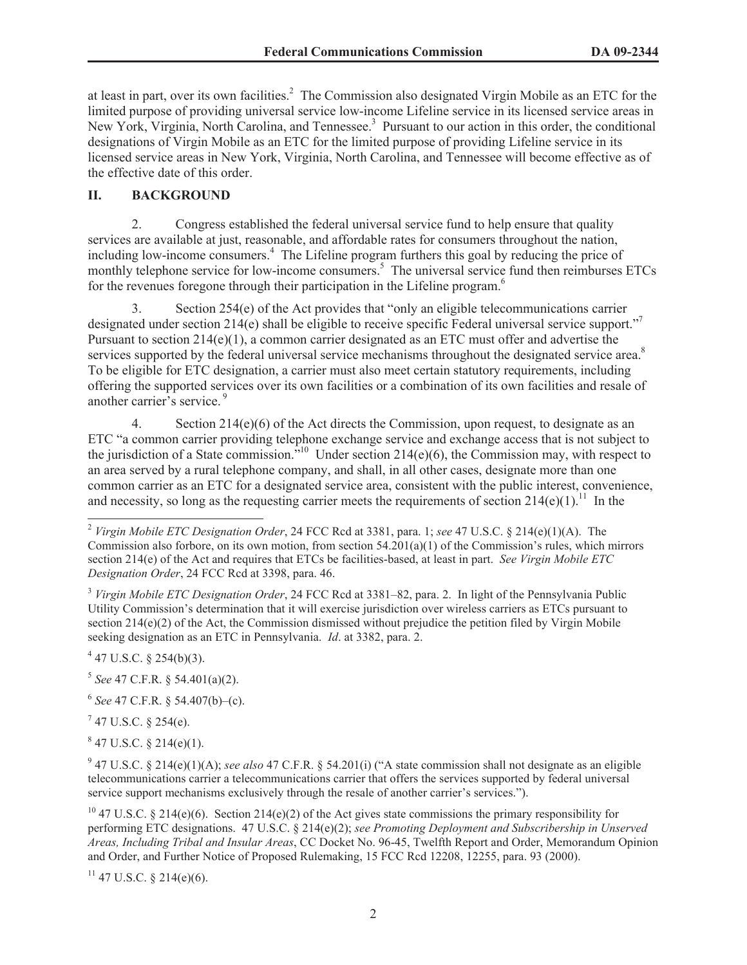at least in part, over its own facilities.<sup>2</sup> The Commission also designated Virgin Mobile as an ETC for the limited purpose of providing universal service low-income Lifeline service in its licensed service areas in New York, Virginia, North Carolina, and Tennessee.<sup>3</sup> Pursuant to our action in this order, the conditional designations of Virgin Mobile as an ETC for the limited purpose of providing Lifeline service in its licensed service areas in New York, Virginia, North Carolina, and Tennessee will become effective as of the effective date of this order.

## **II. BACKGROUND**

2. Congress established the federal universal service fund to help ensure that quality services are available at just, reasonable, and affordable rates for consumers throughout the nation, including low-income consumers.<sup>4</sup> The Lifeline program furthers this goal by reducing the price of monthly telephone service for low-income consumers.<sup>5</sup> The universal service fund then reimburses ETCs for the revenues foregone through their participation in the Lifeline program.<sup>6</sup>

3. Section 254(e) of the Act provides that "only an eligible telecommunications carrier designated under section 214(e) shall be eligible to receive specific Federal universal service support." Pursuant to section  $214(e)(1)$ , a common carrier designated as an ETC must offer and advertise the services supported by the federal universal service mechanisms throughout the designated service area.<sup>8</sup> To be eligible for ETC designation, a carrier must also meet certain statutory requirements, including offering the supported services over its own facilities or a combination of its own facilities and resale of another carrier's service.<sup>9</sup>

4. Section 214(e)(6) of the Act directs the Commission, upon request, to designate as an ETC "a common carrier providing telephone exchange service and exchange access that is not subject to the jurisdiction of a State commission."<sup>10</sup> Under section 214(e)(6), the Commission may, with respect to an area served by a rural telephone company, and shall, in all other cases, designate more than one common carrier as an ETC for a designated service area, consistent with the public interest, convenience, and necessity, so long as the requesting carrier meets the requirements of section  $214(e)(1)^{11}$  In the

 $7$  47 U.S.C. § 254(e).

 $847$  U.S.C. § 214(e)(1).

 $11$  47 U.S.C. § 214(e)(6).

<sup>2</sup> *Virgin Mobile ETC Designation Order*, 24 FCC Rcd at 3381, para. 1; *see* 47 U.S.C. § 214(e)(1)(A). The Commission also forbore, on its own motion, from section 54.201(a)(1) of the Commission's rules, which mirrors section 214(e) of the Act and requires that ETCs be facilities-based, at least in part. *See Virgin Mobile ETC Designation Order*, 24 FCC Rcd at 3398, para. 46.

<sup>3</sup> *Virgin Mobile ETC Designation Order*, 24 FCC Rcd at 3381–82, para. 2. In light of the Pennsylvania Public Utility Commission's determination that it will exercise jurisdiction over wireless carriers as ETCs pursuant to section 214(e)(2) of the Act, the Commission dismissed without prejudice the petition filed by Virgin Mobile seeking designation as an ETC in Pennsylvania. *Id*. at 3382, para. 2.

 $4$  47 U.S.C. § 254(b)(3).

<sup>5</sup> *See* 47 C.F.R. § 54.401(a)(2).

<sup>6</sup> *See* 47 C.F.R. § 54.407(b)–(c).

<sup>&</sup>lt;sup>9</sup> 47 U.S.C. § 214(e)(1)(A); *see also* 47 C.F.R. § 54.201(i) ("A state commission shall not designate as an eligible telecommunications carrier a telecommunications carrier that offers the services supported by federal universal service support mechanisms exclusively through the resale of another carrier's services.").

<sup>&</sup>lt;sup>10</sup> 47 U.S.C. § 214(e)(6). Section 214(e)(2) of the Act gives state commissions the primary responsibility for performing ETC designations. 47 U.S.C. § 214(e)(2); *see Promoting Deployment and Subscribership in Unserved Areas, Including Tribal and Insular Areas*, CC Docket No. 96-45, Twelfth Report and Order, Memorandum Opinion and Order, and Further Notice of Proposed Rulemaking, 15 FCC Rcd 12208, 12255, para. 93 (2000).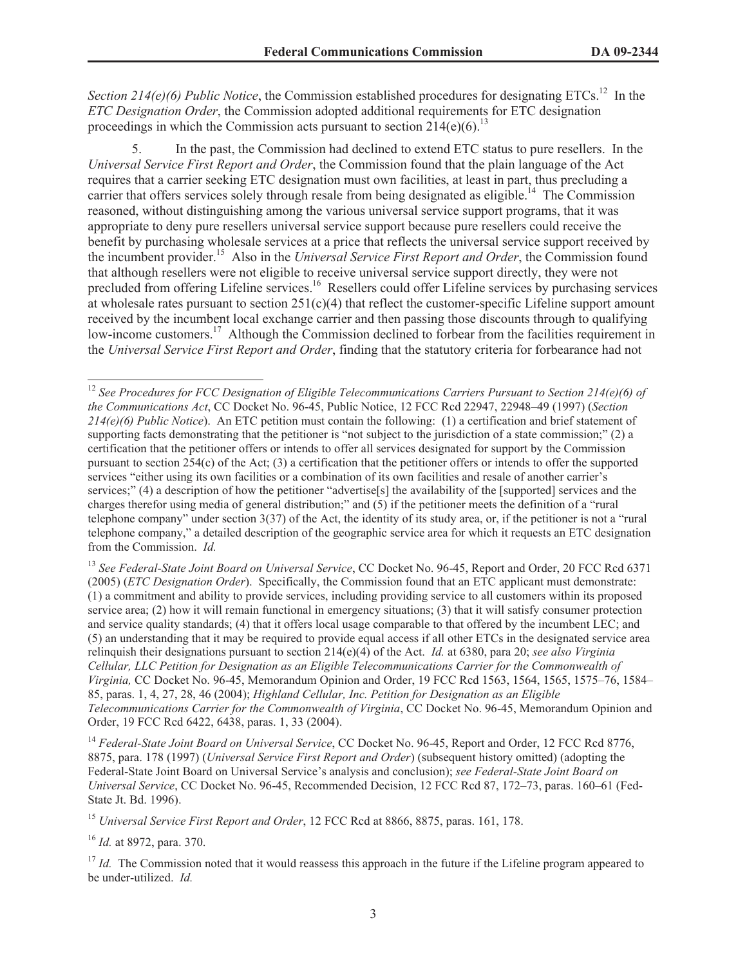*Section* 214(e)(6) Public Notice, the Commission established procedures for designating ETCs.<sup>12</sup> In the *ETC Designation Order*, the Commission adopted additional requirements for ETC designation proceedings in which the Commission acts pursuant to section  $214(e)(6)$ <sup>13</sup>

5. In the past, the Commission had declined to extend ETC status to pure resellers. In the *Universal Service First Report and Order*, the Commission found that the plain language of the Act requires that a carrier seeking ETC designation must own facilities, at least in part, thus precluding a carrier that offers services solely through resale from being designated as eligible.<sup>14</sup> The Commission reasoned, without distinguishing among the various universal service support programs, that it was appropriate to deny pure resellers universal service support because pure resellers could receive the benefit by purchasing wholesale services at a price that reflects the universal service support received by the incumbent provider.<sup>15</sup> Also in the *Universal Service First Report and Order*, the Commission found that although resellers were not eligible to receive universal service support directly, they were not precluded from offering Lifeline services.<sup>16</sup> Resellers could offer Lifeline services by purchasing services at wholesale rates pursuant to section  $251(c)(4)$  that reflect the customer-specific Lifeline support amount received by the incumbent local exchange carrier and then passing those discounts through to qualifying low-income customers.<sup>17</sup> Although the Commission declined to forbear from the facilities requirement in the *Universal Service First Report and Order*, finding that the statutory criteria for forbearance had not

<sup>13</sup> See Federal-State Joint Board on Universal Service, CC Docket No. 96-45, Report and Order, 20 FCC Rcd 6371 (2005) (*ETC Designation Order*). Specifically, the Commission found that an ETC applicant must demonstrate: (1) a commitment and ability to provide services, including providing service to all customers within its proposed service area; (2) how it will remain functional in emergency situations; (3) that it will satisfy consumer protection and service quality standards; (4) that it offers local usage comparable to that offered by the incumbent LEC; and (5) an understanding that it may be required to provide equal access if all other ETCs in the designated service area relinquish their designations pursuant to section 214(e)(4) of the Act. *Id.* at 6380, para 20; *see also Virginia Cellular, LLC Petition for Designation as an Eligible Telecommunications Carrier for the Commonwealth of Virginia,* CC Docket No. 96-45, Memorandum Opinion and Order, 19 FCC Rcd 1563, 1564, 1565, 1575–76, 1584– 85, paras. 1, 4, 27, 28, 46 (2004); *Highland Cellular, Inc. Petition for Designation as an Eligible Telecommunications Carrier for the Commonwealth of Virginia*, CC Docket No. 96-45, Memorandum Opinion and Order, 19 FCC Rcd 6422, 6438, paras. 1, 33 (2004).

<sup>14</sup> *Federal-State Joint Board on Universal Service*, CC Docket No. 96-45, Report and Order, 12 FCC Rcd 8776, 8875, para. 178 (1997) (*Universal Service First Report and Order*) (subsequent history omitted) (adopting the Federal-State Joint Board on Universal Service's analysis and conclusion); *see Federal-State Joint Board on Universal Service*, CC Docket No. 96-45, Recommended Decision, 12 FCC Rcd 87, 172–73, paras. 160–61 (Fed-State Jt. Bd. 1996).

<sup>15</sup> *Universal Service First Report and Order*, 12 FCC Rcd at 8866, 8875, paras. 161, 178.

<sup>16</sup> *Id.* at 8972, para. 370.

<sup>17</sup> *Id.* The Commission noted that it would reassess this approach in the future if the Lifeline program appeared to be under-utilized. *Id.*

<sup>12</sup> *See Procedures for FCC Designation of Eligible Telecommunications Carriers Pursuant to Section 214(e)(6) of the Communications Act*, CC Docket No. 96-45, Public Notice, 12 FCC Rcd 22947, 22948–49 (1997) (*Section 214(e)(6) Public Notice*). An ETC petition must contain the following: (1) a certification and brief statement of supporting facts demonstrating that the petitioner is "not subject to the jurisdiction of a state commission;" (2) a certification that the petitioner offers or intends to offer all services designated for support by the Commission pursuant to section  $254(c)$  of the Act; (3) a certification that the petitioner offers or intends to offer the supported services "either using its own facilities or a combination of its own facilities and resale of another carrier's services;" (4) a description of how the petitioner "advertise[s] the availability of the [supported] services and the charges therefor using media of general distribution;" and (5) if the petitioner meets the definition of a "rural telephone company" under section 3(37) of the Act, the identity of its study area, or, if the petitioner is not a "rural telephone company," a detailed description of the geographic service area for which it requests an ETC designation from the Commission. *Id.*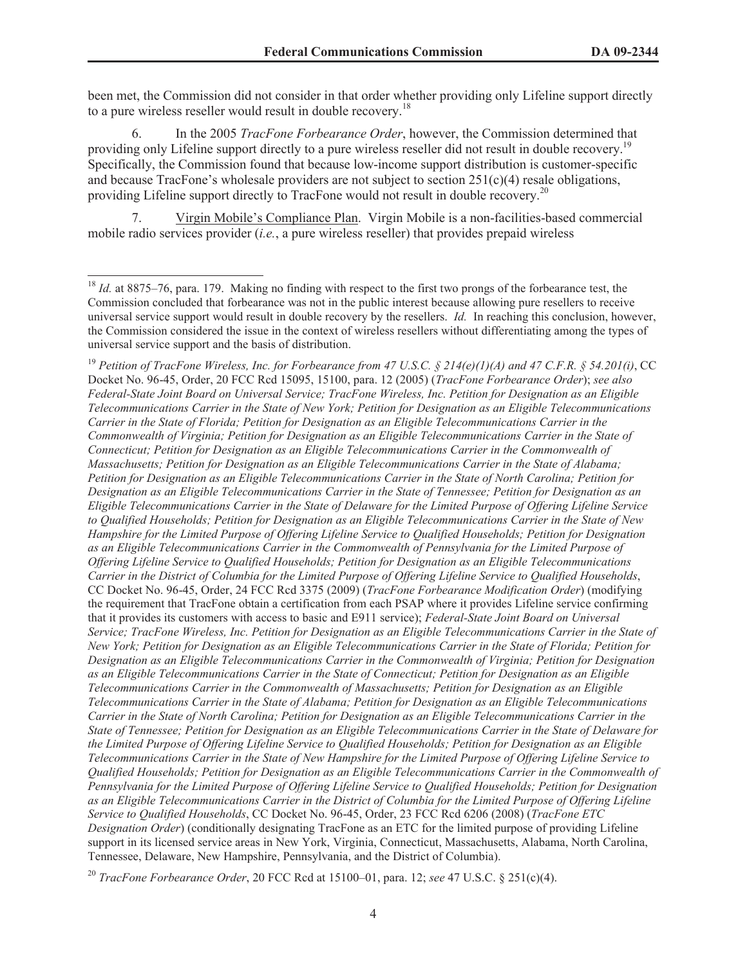been met, the Commission did not consider in that order whether providing only Lifeline support directly to a pure wireless reseller would result in double recovery.<sup>18</sup>

6. In the 2005 *TracFone Forbearance Order*, however, the Commission determined that providing only Lifeline support directly to a pure wireless reseller did not result in double recovery.<sup>19</sup> Specifically, the Commission found that because low-income support distribution is customer-specific and because TracFone's wholesale providers are not subject to section  $251(c)(4)$  resale obligations, providing Lifeline support directly to TracFone would not result in double recovery.<sup>20</sup>

7. Virgin Mobile's Compliance Plan. Virgin Mobile is a non-facilities-based commercial mobile radio services provider (*i.e.*, a pure wireless reseller) that provides prepaid wireless

<sup>19</sup> *Petition of TracFone Wireless, Inc. for Forbearance from 47 U.S.C. § 214(e)(1)(A) and 47 C.F.R. § 54.201(i)*, CC Docket No. 96-45, Order, 20 FCC Rcd 15095, 15100, para. 12 (2005) (*TracFone Forbearance Order*); *see also Federal-State Joint Board on Universal Service; TracFone Wireless, Inc. Petition for Designation as an Eligible Telecommunications Carrier in the State of New York; Petition for Designation as an Eligible Telecommunications Carrier in the State of Florida; Petition for Designation as an Eligible Telecommunications Carrier in the Commonwealth of Virginia; Petition for Designation as an Eligible Telecommunications Carrier in the State of Connecticut; Petition for Designation as an Eligible Telecommunications Carrier in the Commonwealth of Massachusetts; Petition for Designation as an Eligible Telecommunications Carrier in the State of Alabama; Petition for Designation as an Eligible Telecommunications Carrier in the State of North Carolina; Petition for Designation as an Eligible Telecommunications Carrier in the State of Tennessee; Petition for Designation as an Eligible Telecommunications Carrier in the State of Delaware for the Limited Purpose of Offering Lifeline Service to Qualified Households; Petition for Designation as an Eligible Telecommunications Carrier in the State of New Hampshire for the Limited Purpose of Offering Lifeline Service to Qualified Households; Petition for Designation as an Eligible Telecommunications Carrier in the Commonwealth of Pennsylvania for the Limited Purpose of Offering Lifeline Service to Qualified Households; Petition for Designation as an Eligible Telecommunications Carrier in the District of Columbia for the Limited Purpose of Offering Lifeline Service to Qualified Households*, CC Docket No. 96-45, Order, 24 FCC Rcd 3375 (2009) (*TracFone Forbearance Modification Order*) (modifying the requirement that TracFone obtain a certification from each PSAP where it provides Lifeline service confirming that it provides its customers with access to basic and E911 service); *Federal-State Joint Board on Universal Service; TracFone Wireless, Inc. Petition for Designation as an Eligible Telecommunications Carrier in the State of New York; Petition for Designation as an Eligible Telecommunications Carrier in the State of Florida; Petition for Designation as an Eligible Telecommunications Carrier in the Commonwealth of Virginia; Petition for Designation as an Eligible Telecommunications Carrier in the State of Connecticut; Petition for Designation as an Eligible Telecommunications Carrier in the Commonwealth of Massachusetts; Petition for Designation as an Eligible Telecommunications Carrier in the State of Alabama; Petition for Designation as an Eligible Telecommunications Carrier in the State of North Carolina; Petition for Designation as an Eligible Telecommunications Carrier in the State of Tennessee; Petition for Designation as an Eligible Telecommunications Carrier in the State of Delaware for the Limited Purpose of Offering Lifeline Service to Qualified Households; Petition for Designation as an Eligible Telecommunications Carrier in the State of New Hampshire for the Limited Purpose of Offering Lifeline Service to Qualified Households; Petition for Designation as an Eligible Telecommunications Carrier in the Commonwealth of Pennsylvania for the Limited Purpose of Offering Lifeline Service to Qualified Households; Petition for Designation as an Eligible Telecommunications Carrier in the District of Columbia for the Limited Purpose of Offering Lifeline Service to Qualified Households*, CC Docket No. 96-45, Order, 23 FCC Rcd 6206 (2008) (*TracFone ETC Designation Order*) (conditionally designating TracFone as an ETC for the limited purpose of providing Lifeline support in its licensed service areas in New York, Virginia, Connecticut, Massachusetts, Alabama, North Carolina, Tennessee, Delaware, New Hampshire, Pennsylvania, and the District of Columbia).

<sup>&</sup>lt;sup>18</sup> *Id.* at 8875–76, para. 179. Making no finding with respect to the first two prongs of the forbearance test, the Commission concluded that forbearance was not in the public interest because allowing pure resellers to receive universal service support would result in double recovery by the resellers. *Id.* In reaching this conclusion, however, the Commission considered the issue in the context of wireless resellers without differentiating among the types of universal service support and the basis of distribution.

<sup>20</sup> *TracFone Forbearance Order*, 20 FCC Rcd at 15100–01, para. 12; *see* 47 U.S.C. § 251(c)(4).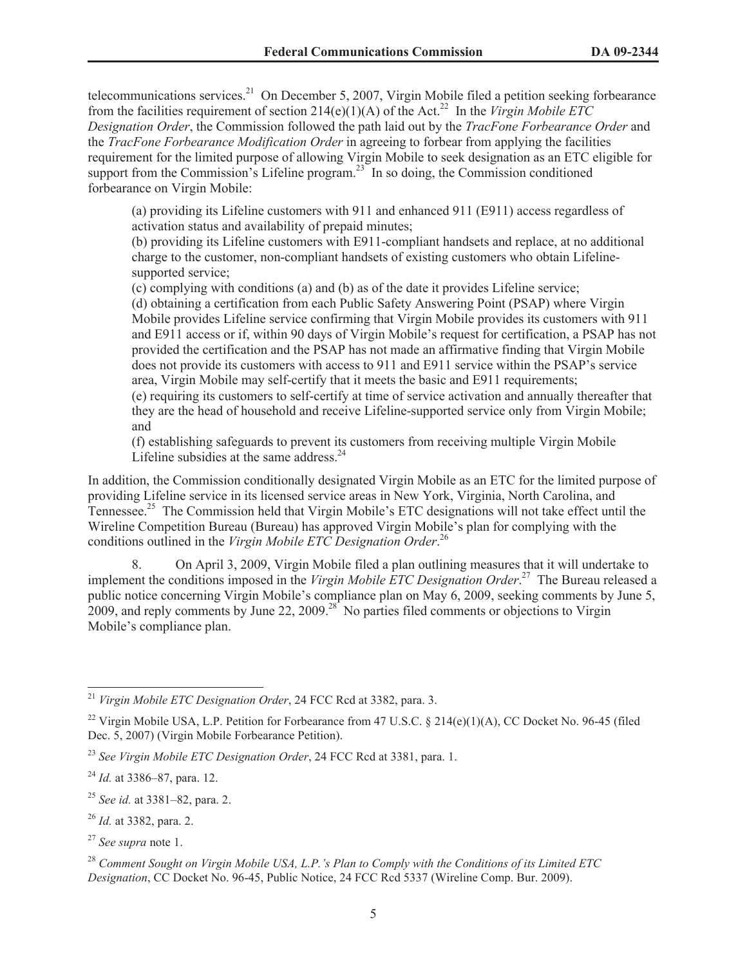telecommunications services.<sup>21</sup> On December 5, 2007, Virgin Mobile filed a petition seeking forbearance from the facilities requirement of section  $214(e)(1)(A)$  of the Act.<sup>22</sup> In the *Virgin Mobile ETC Designation Order*, the Commission followed the path laid out by the *TracFone Forbearance Order* and the *TracFone Forbearance Modification Order* in agreeing to forbear from applying the facilities requirement for the limited purpose of allowing Virgin Mobile to seek designation as an ETC eligible for support from the Commission's Lifeline program.<sup>23</sup> In so doing, the Commission conditioned forbearance on Virgin Mobile:

(a) providing its Lifeline customers with 911 and enhanced 911 (E911) access regardless of activation status and availability of prepaid minutes;

(b) providing its Lifeline customers with E911-compliant handsets and replace, at no additional charge to the customer, non-compliant handsets of existing customers who obtain Lifelinesupported service;

(c) complying with conditions (a) and (b) as of the date it provides Lifeline service; (d) obtaining a certification from each Public Safety Answering Point (PSAP) where Virgin Mobile provides Lifeline service confirming that Virgin Mobile provides its customers with 911 and E911 access or if, within 90 days of Virgin Mobile's request for certification, a PSAP has not provided the certification and the PSAP has not made an affirmative finding that Virgin Mobile does not provide its customers with access to 911 and E911 service within the PSAP's service area, Virgin Mobile may self-certify that it meets the basic and E911 requirements; (e) requiring its customers to self-certify at time of service activation and annually thereafter that they are the head of household and receive Lifeline-supported service only from Virgin Mobile; and

(f) establishing safeguards to prevent its customers from receiving multiple Virgin Mobile Lifeline subsidies at the same address. $24$ 

In addition, the Commission conditionally designated Virgin Mobile as an ETC for the limited purpose of providing Lifeline service in its licensed service areas in New York, Virginia, North Carolina, and Tennessee.<sup>25</sup> The Commission held that Virgin Mobile's ETC designations will not take effect until the Wireline Competition Bureau (Bureau) has approved Virgin Mobile's plan for complying with the conditions outlined in the *Virgin Mobile ETC Designation Order*. 26

8. On April 3, 2009, Virgin Mobile filed a plan outlining measures that it will undertake to implement the conditions imposed in the *Virgin Mobile ETC Designation Order*. <sup>27</sup> The Bureau released a public notice concerning Virgin Mobile's compliance plan on May 6, 2009, seeking comments by June 5, 2009, and reply comments by June 22, 2009.<sup>28</sup> No parties filed comments or objections to Virgin Mobile's compliance plan.

- <sup>25</sup> *See id.* at 3381–82, para. 2.
- <sup>26</sup> *Id.* at 3382, para. 2.
- <sup>27</sup> *See supra* note 1.

<sup>21</sup> *Virgin Mobile ETC Designation Order*, 24 FCC Rcd at 3382, para. 3.

<sup>&</sup>lt;sup>22</sup> Virgin Mobile USA, L.P. Petition for Forbearance from 47 U.S.C. § 214(e)(1)(A), CC Docket No. 96-45 (filed Dec. 5, 2007) (Virgin Mobile Forbearance Petition).

<sup>23</sup> *See Virgin Mobile ETC Designation Order*, 24 FCC Rcd at 3381, para. 1.

<sup>24</sup> *Id.* at 3386–87, para. 12.

<sup>28</sup> *Comment Sought on Virgin Mobile USA, L.P.'s Plan to Comply with the Conditions of its Limited ETC Designation*, CC Docket No. 96-45, Public Notice, 24 FCC Rcd 5337 (Wireline Comp. Bur. 2009).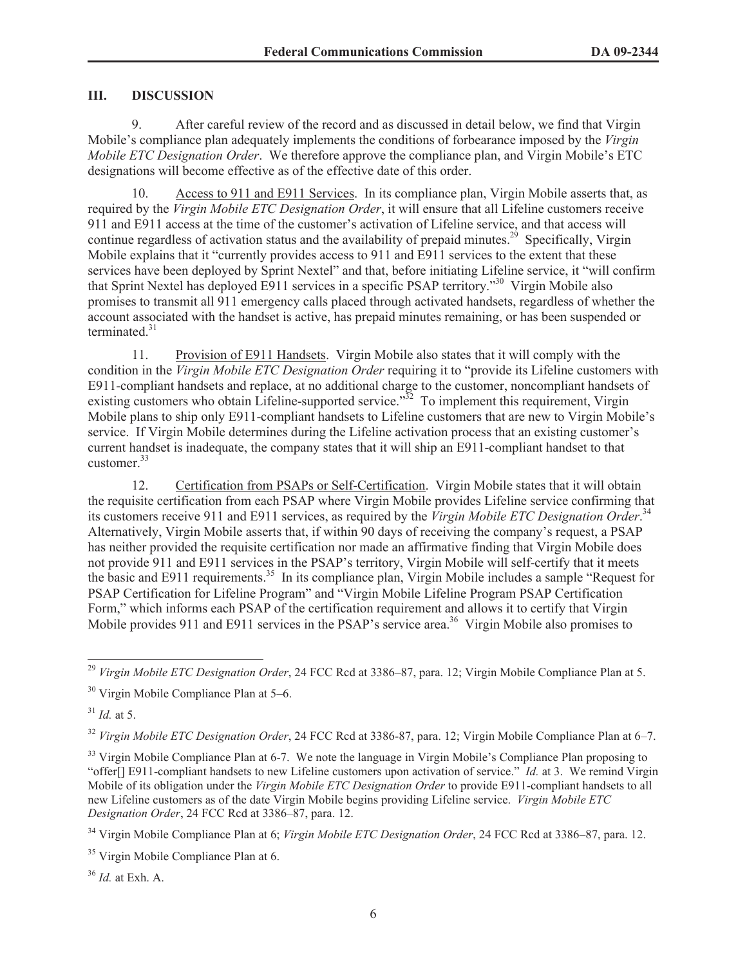#### **III. DISCUSSION**

9. After careful review of the record and as discussed in detail below, we find that Virgin Mobile's compliance plan adequately implements the conditions of forbearance imposed by the *Virgin Mobile ETC Designation Order*. We therefore approve the compliance plan, and Virgin Mobile's ETC designations will become effective as of the effective date of this order.

10. Access to 911 and E911 Services. In its compliance plan, Virgin Mobile asserts that, as required by the *Virgin Mobile ETC Designation Order*, it will ensure that all Lifeline customers receive 911 and E911 access at the time of the customer's activation of Lifeline service, and that access will continue regardless of activation status and the availability of prepaid minutes.<sup>29</sup> Specifically, Virgin Mobile explains that it "currently provides access to 911 and E911 services to the extent that these services have been deployed by Sprint Nextel" and that, before initiating Lifeline service, it "will confirm that Sprint Nextel has deployed E911 services in a specific PSAP territory."<sup>30</sup> Virgin Mobile also promises to transmit all 911 emergency calls placed through activated handsets, regardless of whether the account associated with the handset is active, has prepaid minutes remaining, or has been suspended or terminated  $31$ 

11. Provision of E911 Handsets. Virgin Mobile also states that it will comply with the condition in the *Virgin Mobile ETC Designation Order* requiring it to "provide its Lifeline customers with E911-compliant handsets and replace, at no additional charge to the customer, noncompliant handsets of existing customers who obtain Lifeline-supported service."<sup>32</sup> To implement this requirement, Virgin Mobile plans to ship only E911-compliant handsets to Lifeline customers that are new to Virgin Mobile's service. If Virgin Mobile determines during the Lifeline activation process that an existing customer's current handset is inadequate, the company states that it will ship an E911-compliant handset to that customer.<sup>33</sup>

12. Certification from PSAPs or Self-Certification. Virgin Mobile states that it will obtain the requisite certification from each PSAP where Virgin Mobile provides Lifeline service confirming that its customers receive 911 and E911 services, as required by the *Virgin Mobile ETC Designation Order*. 34 Alternatively, Virgin Mobile asserts that, if within 90 days of receiving the company's request, a PSAP has neither provided the requisite certification nor made an affirmative finding that Virgin Mobile does not provide 911 and E911 services in the PSAP's territory, Virgin Mobile will self-certify that it meets the basic and E911 requirements.<sup>35</sup> In its compliance plan, Virgin Mobile includes a sample "Request for PSAP Certification for Lifeline Program" and "Virgin Mobile Lifeline Program PSAP Certification Form," which informs each PSAP of the certification requirement and allows it to certify that Virgin Mobile provides 911 and E911 services in the PSAP's service area.<sup>36</sup> Virgin Mobile also promises to

<sup>31</sup> *Id.* at 5.

<sup>32</sup> *Virgin Mobile ETC Designation Order*, 24 FCC Rcd at 3386-87, para. 12; Virgin Mobile Compliance Plan at 6–7.

<sup>36</sup> *Id.* at Exh. A.

<sup>29</sup> *Virgin Mobile ETC Designation Order*, 24 FCC Rcd at 3386–87, para. 12; Virgin Mobile Compliance Plan at 5.

<sup>&</sup>lt;sup>30</sup> Virgin Mobile Compliance Plan at 5–6.

<sup>&</sup>lt;sup>33</sup> Virgin Mobile Compliance Plan at 6-7. We note the language in Virgin Mobile's Compliance Plan proposing to "offer[] E911-compliant handsets to new Lifeline customers upon activation of service." *Id.* at 3. We remind Virgin Mobile of its obligation under the *Virgin Mobile ETC Designation Order* to provide E911-compliant handsets to all new Lifeline customers as of the date Virgin Mobile begins providing Lifeline service. *Virgin Mobile ETC Designation Order*, 24 FCC Rcd at 3386–87, para. 12.

<sup>34</sup> Virgin Mobile Compliance Plan at 6; *Virgin Mobile ETC Designation Order*, 24 FCC Rcd at 3386–87, para. 12.

<sup>&</sup>lt;sup>35</sup> Virgin Mobile Compliance Plan at 6.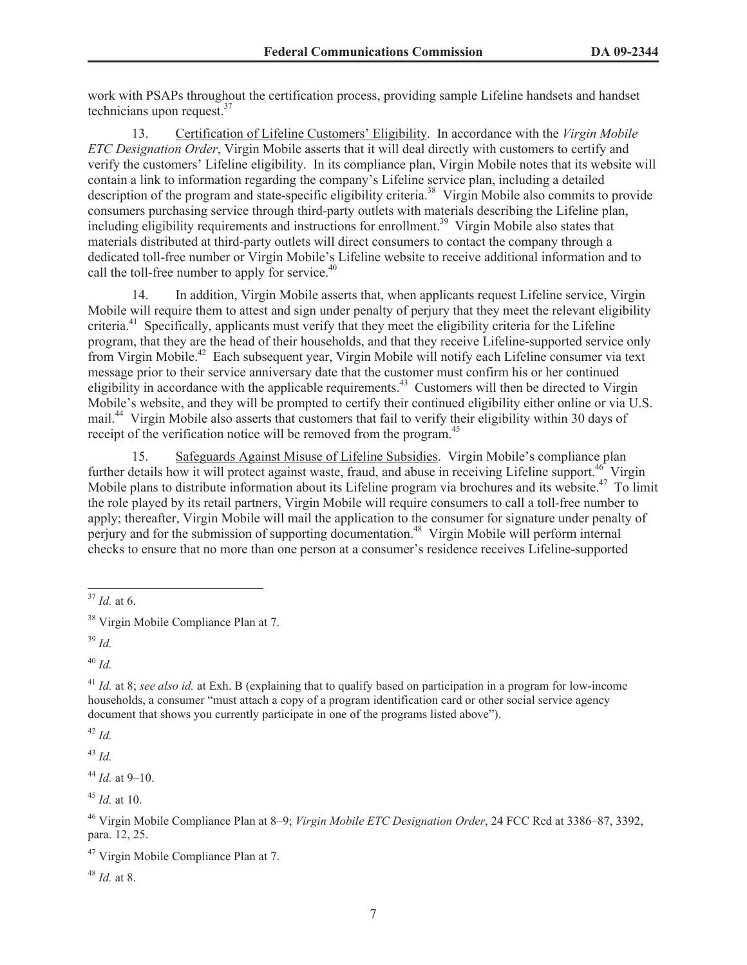work with PSAPs throughout the certification process, providing sample Lifeline handsets and handset technicians upon request.<sup>37</sup>

13. Certification of Lifeline Customers' Eligibility. In accordance with the *Virgin Mobile ETC Designation Order*, Virgin Mobile asserts that it will deal directly with customers to certify and verify the customers' Lifeline eligibility. In its compliance plan, Virgin Mobile notes that its website will contain a link to information regarding the company's Lifeline service plan, including a detailed description of the program and state-specific eligibility criteria.<sup>38</sup> Virgin Mobile also commits to provide consumers purchasing service through third-party outlets with materials describing the Lifeline plan, including eligibility requirements and instructions for enrollment.<sup>39</sup> Virgin Mobile also states that materials distributed at third-party outlets will direct consumers to contact the company through a dedicated toll-free number or Virgin Mobile's Lifeline website to receive additional information and to call the toll-free number to apply for service. $40$ 

14. In addition, Virgin Mobile asserts that, when applicants request Lifeline service, Virgin Mobile will require them to attest and sign under penalty of perjury that they meet the relevant eligibility criteria.<sup>41</sup> Specifically, applicants must verify that they meet the eligibility criteria for the Lifeline program, that they are the head of their households, and that they receive Lifeline-supported service only from Virgin Mobile.<sup>42</sup> Each subsequent year, Virgin Mobile will notify each Lifeline consumer via text message prior to their service anniversary date that the customer must confirm his or her continued eligibility in accordance with the applicable requirements.<sup>43</sup> Customers will then be directed to Virgin Mobile's website, and they will be prompted to certify their continued eligibility either online or via U.S. mail.<sup>44</sup> Virgin Mobile also asserts that customers that fail to verify their eligibility within 30 days of receipt of the verification notice will be removed from the program.<sup>45</sup>

15. Safeguards Against Misuse of Lifeline Subsidies. Virgin Mobile's compliance plan further details how it will protect against waste, fraud, and abuse in receiving Lifeline support.<sup>46</sup> Virgin Mobile plans to distribute information about its Lifeline program via brochures and its website.<sup>47</sup> To limit the role played by its retail partners, Virgin Mobile will require consumers to call a toll-free number to apply; thereafter, Virgin Mobile will mail the application to the consumer for signature under penalty of perjury and for the submission of supporting documentation.<sup>48</sup> Virgin Mobile will perform internal checks to ensure that no more than one person at a consumer's residence receives Lifeline-supported

<sup>39</sup> *Id.*

<sup>40</sup> *Id.*

<sup>42</sup> *Id.*

<sup>43</sup> *Id.*

<sup>44</sup> *Id.* at 9–10.

<sup>45</sup> *Id.* at 10.

<sup>48</sup> *Id.* at 8.

<sup>37</sup> *Id.* at 6.

<sup>&</sup>lt;sup>38</sup> Virgin Mobile Compliance Plan at 7.

<sup>41</sup> *Id.* at 8; *see also id.* at Exh. B (explaining that to qualify based on participation in a program for low-income households, a consumer "must attach a copy of a program identification card or other social service agency document that shows you currently participate in one of the programs listed above").

<sup>46</sup> Virgin Mobile Compliance Plan at 8–9; *Virgin Mobile ETC Designation Order*, 24 FCC Rcd at 3386–87, 3392, para. 12, 25.

<sup>&</sup>lt;sup>47</sup> Virgin Mobile Compliance Plan at 7.